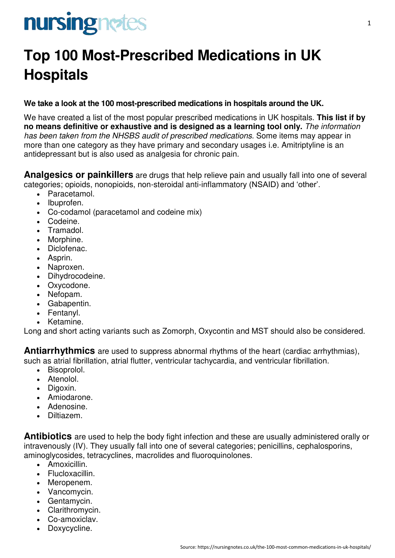# nursingnetes

### **Top 100 Most-Prescribed Medications in UK Hospitals**

#### **We take a look at the 100 most-prescribed medications in hospitals around the UK.**

We have created a list of the most popular prescribed medications in UK hospitals. **This list if by no means definitive or exhaustive and is designed as a learning tool only.** *The information has been taken from the NHSBS audit of prescribed medications.* Some items may appear in more than one category as they have primary and secondary usages i.e. Amitriptyline is an antidepressant but is also used as analgesia for chronic pain.

**Analgesics or painkillers** are drugs that help relieve pain and usually fall into one of several categories; opioids, nonopioids, non-steroidal anti-inflammatory (NSAID) and 'other'.

- Paracetamol.
- Ibuprofen.
- Co-codamol (paracetamol and codeine mix)
- Codeine.
- Tramadol.
- Morphine.
- Diclofenac.
- Asprin.
- Naproxen.
- Dihydrocodeine.
- Oxycodone.
- Nefopam.
- Gabapentin.
- Fentanyl.
- Ketamine.

Long and short acting variants such as Zomorph, Oxycontin and MST should also be considered.

**Antiarrhythmics** are used to suppress abnormal rhythms of the heart (cardiac arrhythmias), such as atrial fibrillation, atrial flutter, ventricular tachycardia, and ventricular fibrillation.

- Bisoprolol.
- Atenolol.
- Digoxin.
- Amiodarone.
- Adenosine.
- Diltiazem.

**Antibiotics** are used to help the body fight infection and these are usually administered orally or intravenously (IV). They usually fall into one of several categories; penicillins, cephalosporins, aminoglycosides, tetracyclines, macrolides and fluoroquinolones.

- Amoxicillin.
- Flucloxacillin.
- Meropenem.
- Vancomycin.
- Gentamycin.
- Clarithromycin.
- Co-amoxiclav.
- Doxycycline.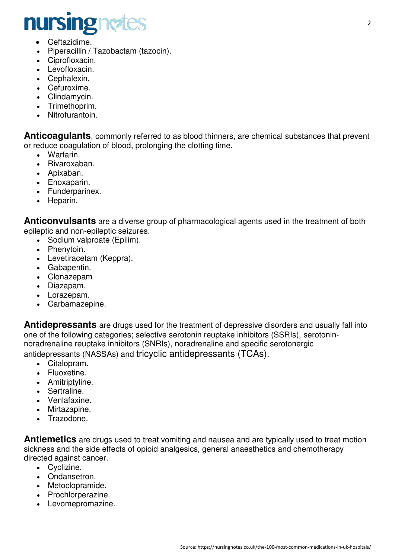## nursingnetes

- Ceftazidime.
- Piperacillin / Tazobactam (tazocin).
- Ciprofloxacin.
- Levofloxacin.
- Cephalexin.
- Cefuroxime.
- Clindamycin.
- Trimethoprim.
- Nitrofurantoin.

**Anticoagulants**, commonly referred to as blood thinners, are chemical substances that prevent or reduce coagulation of blood, prolonging the clotting time.

- Warfarin.
- Rivaroxaban.
- Apixaban.
- Enoxaparin.
- Funderparinex.
- Heparin.

**Anticonvulsants** are a diverse group of pharmacological agents used in the treatment of both epileptic and non-epileptic seizures.

- Sodium valproate (Epilim).
- Phenytoin.
- Levetiracetam (Keppra).
- Gabapentin.
- Clonazepam
- Diazapam.
- Lorazepam.
- Carbamazepine.

**Antidepressants** are drugs used for the treatment of depressive disorders and usually fall into one of the following categories; selective serotonin reuptake inhibitors (SSRIs), serotoninnoradrenaline reuptake inhibitors (SNRIs), noradrenaline and specific serotonergic antidepressants (NASSAs) and tricyclic antidepressants (TCAs).

- Citalopram.
- Fluoxetine.
- Amitriptyline.
- Sertraline.
- Venlafaxine.
- Mirtazapine.
- Trazodone.

**Antiemetics** are drugs used to treat vomiting and nausea and are typically used to treat motion sickness and the side effects of opioid analgesics, general anaesthetics and chemotherapy directed against cancer.

- Cyclizine.
- Ondansetron.
- Metoclopramide.
- Prochlorperazine.
- Levomepromazine.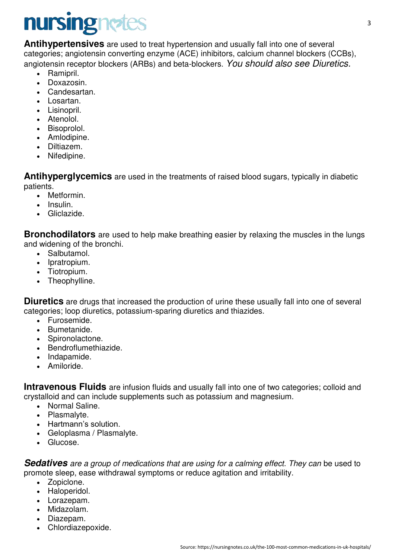# nursingnetes

**Antihypertensives** are used to treat hypertension and usually fall into one of several categories; angiotensin converting enzyme (ACE) inhibitors, calcium channel blockers (CCBs), angiotensin receptor blockers (ARBs) and beta-blockers. *You should also see Diuretics.* 

- Ramipril.
- Doxazosin.
- Candesartan.
- Losartan.
- Lisinopril.
- Atenolol.
- Bisoprolol.
- Amlodipine.
- Diltiazem.
- Nifedipine.

**Antihyperglycemics** are used in the treatments of raised blood sugars, typically in diabetic patients.

- Metformin.
- Insulin.
- Gliclazide.

**Bronchodilators** are used to help make breathing easier by relaxing the muscles in the lungs and widening of the bronchi.

- Salbutamol.
- Ipratropium.
- Tiotropium.
- Theophylline.

**Diuretics** are drugs that increased the production of urine these usually fall into one of several categories; loop diuretics, potassium-sparing diuretics and thiazides.

- Furosemide.
- Bumetanide.
- Spironolactone.
- Bendroflumethiazide.
- Indapamide.
- Amiloride.

**Intravenous Fluids** are infusion fluids and usually fall into one of two categories; colloid and crystalloid and can include supplements such as potassium and magnesium.

- Normal Saline.
- Plasmalyte.
- Hartmann's solution.
- Geloplasma / Plasmalyte.
- Glucose.

**Sedatives** are a group of medications that are using for a calming effect. They can be used to promote sleep, ease withdrawal symptoms or reduce agitation and irritability.

- Zopiclone.
- Haloperidol.
- Lorazepam.
- Midazolam.
- Diazepam.
- Chlordiazepoxide.